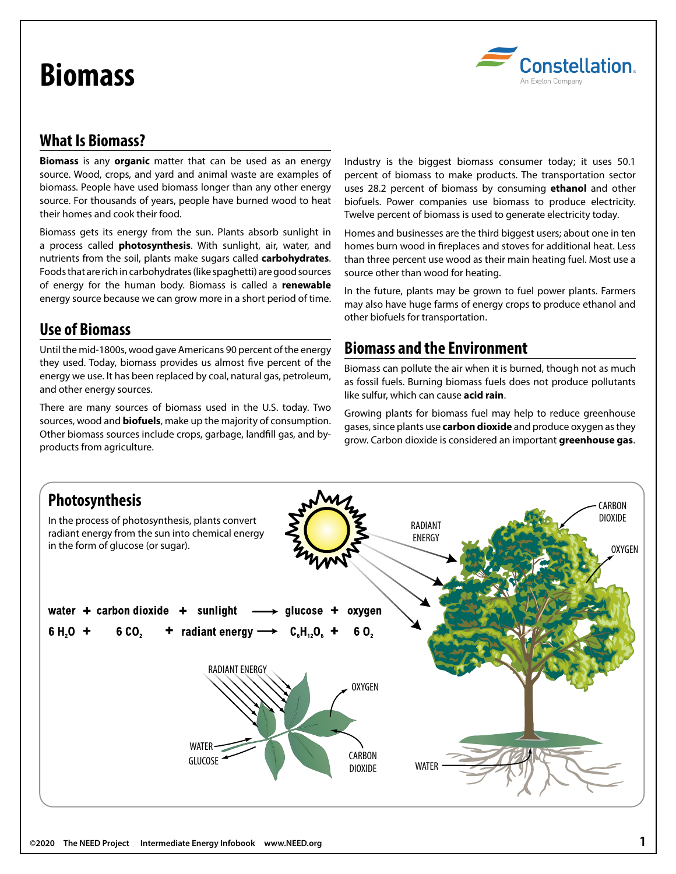# **Biomass**



# **What Is Biomass?**

**Biomass** is any **organic** matter that can be used as an energy source. Wood, crops, and yard and animal waste are examples of biomass. People have used biomass longer than any other energy source. For thousands of years, people have burned wood to heat their homes and cook their food.

Biomass gets its energy from the sun. Plants absorb sunlight in a process called **photosynthesis**. With sunlight, air, water, and nutrients from the soil, plants make sugars called **carbohydrates**. Foods that are rich in carbohydrates (like spaghetti) are good sources of energy for the human body. Biomass is called a **renewable** energy source because we can grow more in a short period of time.

## **Use of Biomass**

Until the mid-1800s, wood gave Americans 90 percent of the energy they used. Today, biomass provides us almost five percent of the energy we use. It has been replaced by coal, natural gas, petroleum, and other energy sources.

There are many sources of biomass used in the U.S. today. Two sources, wood and **biofuels**, make up the majority of consumption. Other biomass sources include crops, garbage, landfill gas, and byproducts from agriculture.

Industry is the biggest biomass consumer today; it uses 50.1 percent of biomass to make products. The transportation sector uses 28.2 percent of biomass by consuming **ethanol** and other biofuels. Power companies use biomass to produce electricity. Twelve percent of biomass is used to generate electricity today.

Homes and businesses are the third biggest users; about one in ten homes burn wood in fireplaces and stoves for additional heat. Less than three percent use wood as their main heating fuel. Most use a source other than wood for heating.

In the future, plants may be grown to fuel power plants. Farmers may also have huge farms of energy crops to produce ethanol and other biofuels for transportation.

## **Biomass and the Environment**

Biomass can pollute the air when it is burned, though not as much as fossil fuels. Burning biomass fuels does not produce pollutants like sulfur, which can cause **acid rain**.

Growing plants for biomass fuel may help to reduce greenhouse gases, since plants use **carbon dioxide** and produce oxygen as they grow. Carbon dioxide is considered an important **greenhouse gas**.